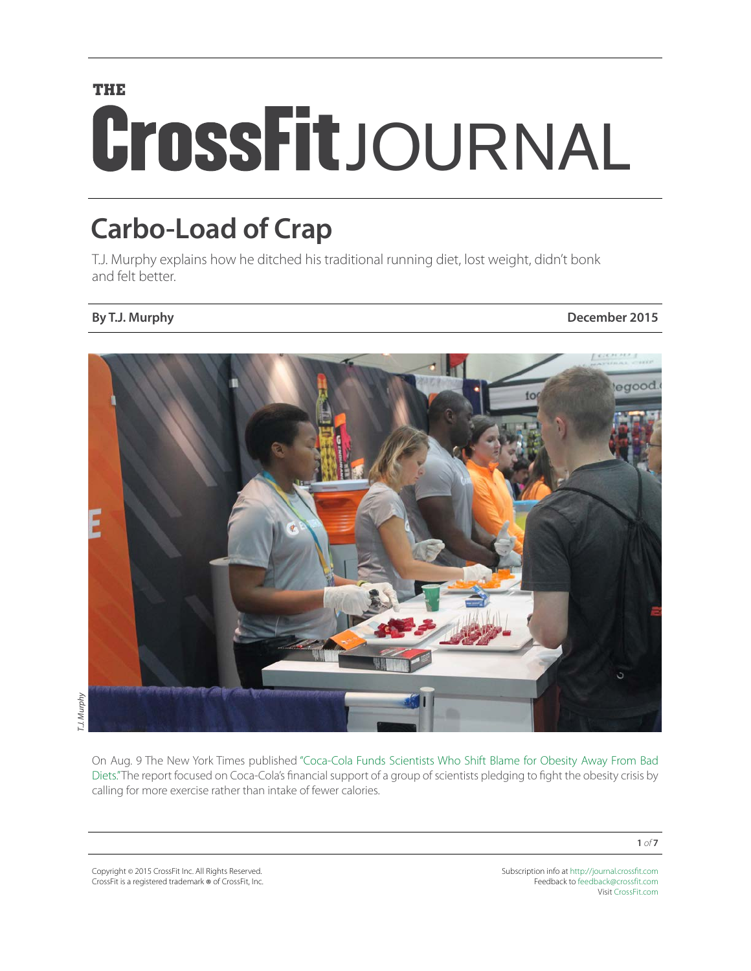# **THE CrossFit**JOURNAL

## **Carbo-Load of Crap**

T.J. Murphy explains how he ditched his traditional running diet, lost weight, didn't bonk and felt better.

**By T.J. Murphy December 2015**



*T.J. Murphy*

On Aug. 9 The New York Times published ["Coca-Cola Funds Scientists Who Shift Blame for Obesity Away From Bad](http://well.blogs.nytimes.com/2015/08/09/coca-cola-funds-scientists-who-shift-blame-for-obesity-away-from-bad-diets/?_r=0) [Diets."](http://well.blogs.nytimes.com/2015/08/09/coca-cola-funds-scientists-who-shift-blame-for-obesity-away-from-bad-diets/?_r=0) The report focused on Coca-Cola's financial support of a group of scientists pledging to fight the obesity crisis by calling for more exercise rather than intake of fewer calories.

Copyright © 2015 CrossFit Inc. All Rights Reserved. CrossFit is a registered trademark ® of CrossFit, Inc. Subscription info at <http://journal.crossfit.com> Feedback to [feedback@crossfit.com](mailto:feedback@crossfit.com) Visit [CrossFit.com](http://www.crossfit.com)

**1** *of* **7**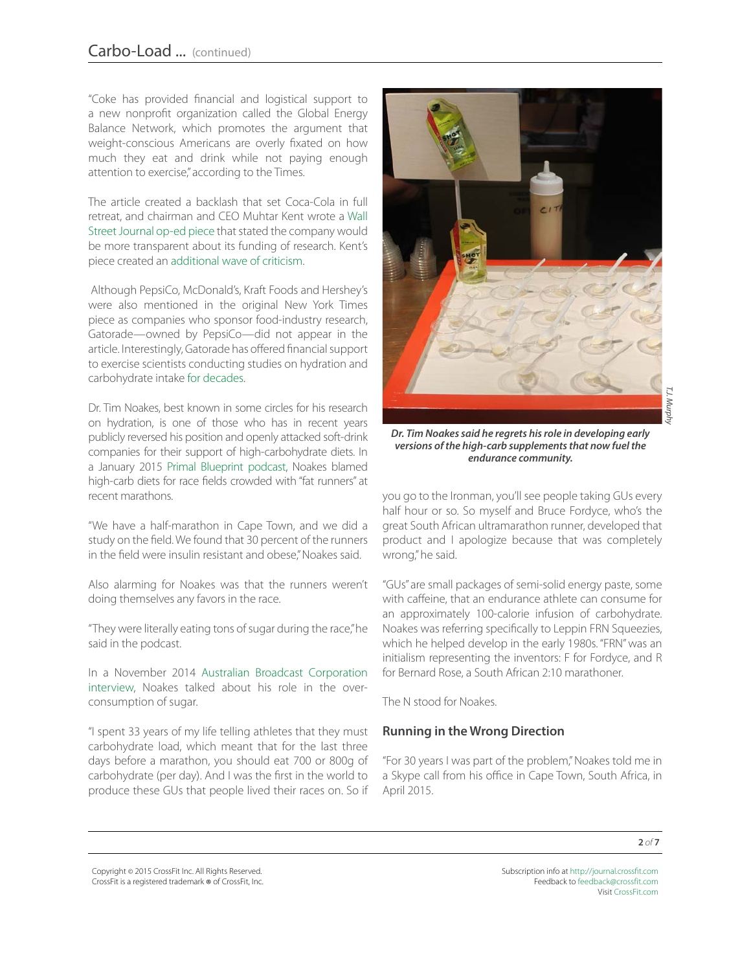"Coke has provided financial and logistical support to a new nonprofit organization called the Global Energy Balance Network, which promotes the argument that weight-conscious Americans are overly fixated on how much they eat and drink while not paying enough attention to exercise," according to the Times.

The article created a backlash that set Coca-Cola in full retreat, and chairman and CEO Muhtar Kent wrote a [Wall](http://www.wsj.com/articles/coca-cola-well-do-better-1440024365) [Street Journal op-ed piece](http://www.wsj.com/articles/coca-cola-well-do-better-1440024365) that stated the company would be more transparent about its funding of research. Kent's piece created an [additional wave of criticism.](http://therussells.crossfit.com/2015/08/26/coke-spending-millions-to-manipulate-science-by-dr-harold-goldstein/)

 Although PepsiCo, McDonald's, Kraft Foods and Hershey's were also mentioned in the original New York Times piece as companies who sponsor food-industry research, Gatorade—owned by PepsiCo—did not appear in the article. Interestingly, Gatorade has offered financial support to exercise scientists conducting studies on hydration and carbohydrate intake [for decades](http://journal.crossfit.com/2015/08/a-sticky-story.tpl).

Dr. Tim Noakes, best known in some circles for his research on hydration, is one of those who has in recent years publicly reversed his position and openly attacked soft-drink companies for their support of high-carbohydrate diets. In a January 2015 [Primal Blueprint podcast,](http://blog.primalblueprint.com/episode-50-mark-interviews-dr-timothy-noakes/) Noakes blamed high-carb diets for race fields crowded with "fat runners" at recent marathons.

"We have a half-marathon in Cape Town, and we did a study on the field. We found that 30 percent of the runners in the field were insulin resistant and obese." Noakes said.

Also alarming for Noakes was that the runners weren't doing themselves any favors in the race.

"They were literally eating tons of sugar during the race," he said in the podcast.

In a November 2014 [Australian Broadcast Corporation](http://www.abc.net.au/catalyst/stories/4126228.htm)  [interview,](http://www.abc.net.au/catalyst/stories/4126228.htm) Noakes talked about his role in the overconsumption of sugar.

"I spent 33 years of my life telling athletes that they must carbohydrate load, which meant that for the last three days before a marathon, you should eat 700 or 800g of carbohydrate (per day). And I was the first in the world to produce these GUs that people lived their races on. So if



*T.J. Murphy*

*Dr. Tim Noakes said he regrets his role in developing early versions of the high-carb supplements that now fuel the endurance community.*

you go to the Ironman, you'll see people taking GUs every half hour or so. So myself and Bruce Fordyce, who's the great South African ultramarathon runner, developed that product and I apologize because that was completely wrong," he said.

"GUs" are small packages of semi-solid energy paste, some with caffeine, that an endurance athlete can consume for an approximately 100-calorie infusion of carbohydrate. Noakes was referring specifically to Leppin FRN Squeezies, which he helped develop in the early 1980s. "FRN" was an initialism representing the inventors: F for Fordyce, and R for Bernard Rose, a South African 2:10 marathoner.

The N stood for Noakes.

#### **Running in the Wrong Direction**

"For 30 years I was part of the problem," Noakes told me in a Skype call from his office in Cape Town, South Africa, in April 2015.

Copyright © 2015 CrossFit Inc. All Rights Reserved. CrossFit is a registered trademark ® of CrossFit, Inc.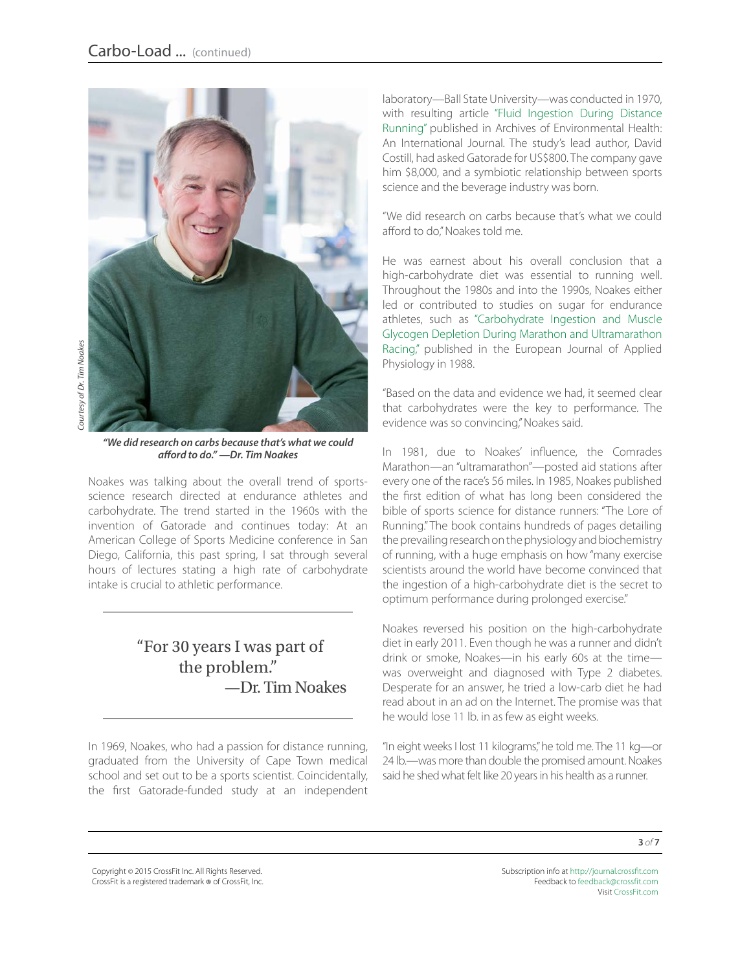

*"We did research on carbs because that's what we could afford to do." —Dr. Tim Noakes*

Noakes was talking about the overall trend of sportsscience research directed at endurance athletes and carbohydrate. The trend started in the 1960s with the invention of Gatorade and continues today: At an American College of Sports Medicine conference in San Diego, California, this past spring, I sat through several hours of lectures stating a high rate of carbohydrate intake is crucial to athletic performance.

#### "For 30 years I was part of the problem." —Dr. Tim Noakes

In 1969, Noakes, who had a passion for distance running, graduated from the University of Cape Town medical school and set out to be a sports scientist. Coincidentally, the first Gatorade-funded study at an independent

laboratory—Ball State University—was conducted in 1970, with resulting article ["Fluid Ingestion During Distance](http://www.tandfonline.com/doi/abs/10.1080/00039896.1970.10667282?journalCode=vzeh20) [Running"](http://www.tandfonline.com/doi/abs/10.1080/00039896.1970.10667282?journalCode=vzeh20) published in Archives of Environmental Health: An International Journal. The study's lead author, David Costill, had asked Gatorade for US\$800. The company gave him \$8,000, and a symbiotic relationship between sports science and the beverage industry was born.

"We did research on carbs because that's what we could afford to do," Noakes told me.

He was earnest about his overall conclusion that a high-carbohydrate diet was essential to running well. Throughout the 1980s and into the 1990s, Noakes either led or contributed to studies on sugar for endurance athletes, such as ["Carbohydrate Ingestion and Muscle](http://www.ncbi.nlm.nih.gov/pubmed/3294002) [Glycogen Depletion During Marathon and Ultramarathon](http://www.ncbi.nlm.nih.gov/pubmed/3294002) [Racing,"](http://www.ncbi.nlm.nih.gov/pubmed/3294002) published in the European Journal of Applied Physiology in 1988.

"Based on the data and evidence we had, it seemed clear that carbohydrates were the key to performance. The evidence was so convincing," Noakes said.

In 1981, due to Noakes' influence, the Comrades Marathon—an "ultramarathon"—posted aid stations after every one of the race's 56 miles. In 1985, Noakes published the first edition of what has long been considered the bible of sports science for distance runners: "The Lore of Running." The book contains hundreds of pages detailing the prevailing research on the physiology and biochemistry of running, with a huge emphasis on how "many exercise scientists around the world have become convinced that the ingestion of a high-carbohydrate diet is the secret to optimum performance during prolonged exercise."

Noakes reversed his position on the high-carbohydrate diet in early 2011. Even though he was a runner and didn't drink or smoke, Noakes—in his early 60s at the time was overweight and diagnosed with Type 2 diabetes. Desperate for an answer, he tried a low-carb diet he had read about in an ad on the Internet. The promise was that he would lose 11 lb. in as few as eight weeks.

"In eight weeks I lost 11 kilograms," he told me. The 11 kg—or 24 lb.—was more than double the promised amount. Noakes said he shed what felt like 20 years in his health as a runner.

Copyright © 2015 CrossFit Inc. All Rights Reserved. CrossFit is a registered trademark ® of CrossFit, Inc.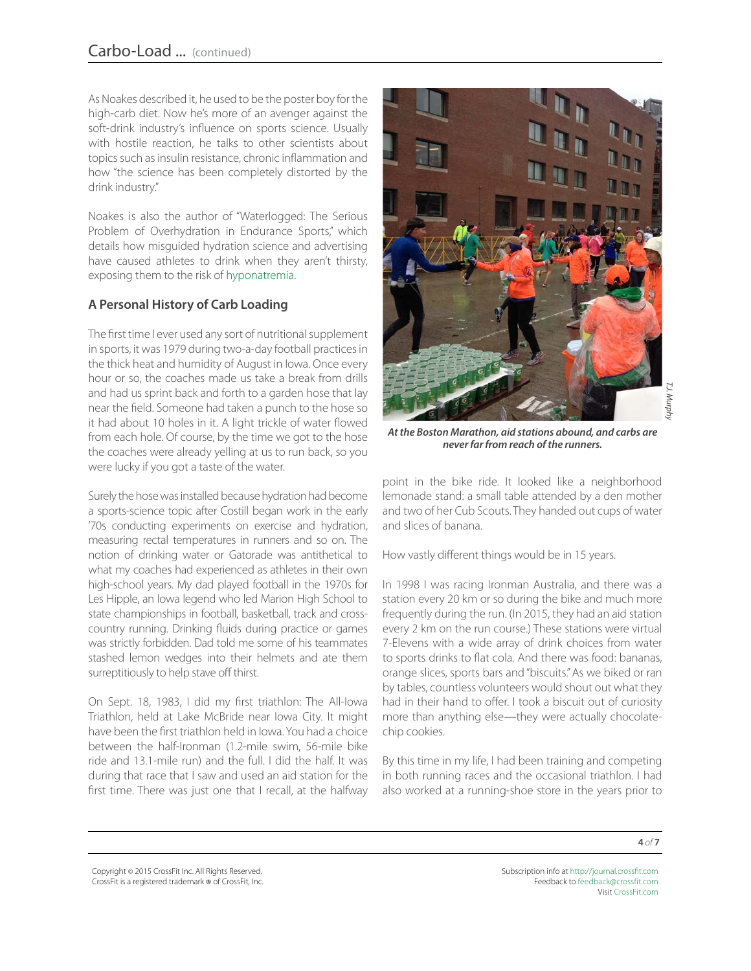As Noakes described it, he used to be the poster boy for the high-carb diet. Now he's more of an avenger against the soft-drink industry's influence on sports science. Usually with hostile reaction, he talks to other scientists about topics such as insulin resistance, chronic inflammation and how "the science has been completely distorted by the drink industry."

Noakes is also the author of "Waterlogged: The Serious Problem of Overhydration in Endurance Sports," which details how misguided hydration science and advertising have caused athletes to drink when they aren't thirsty, exposing them to the risk of [hyponatremia.](http://journal.crossfit.com/2015/02/confronting-the-drinking-problem.tpl)

#### **A Personal History of Carb Loading**

The first time I ever used any sort of nutritional supplement in sports, it was 1979 during two-a-day football practices in the thick heat and humidity of August in Iowa. Once every hour or so, the coaches made us take a break from drills and had us sprint back and forth to a garden hose that lay near the field. Someone had taken a punch to the hose so it had about 10 holes in it. A light trickle of water flowed from each hole. Of course, by the time we got to the hose the coaches were already yelling at us to run back, so you were lucky if you got a taste of the water.

Surely the hose was installed because hydration had become a sports-science topic after Costill began work in the early '70s conducting experiments on exercise and hydration, measuring rectal temperatures in runners and so on. The notion of drinking water or Gatorade was antithetical to what my coaches had experienced as athletes in their own high-school years. My dad played football in the 1970s for Les Hipple, an Iowa legend who led Marion High School to state championships in football, basketball, track and crosscountry running. Drinking fluids during practice or games was strictly forbidden. Dad told me some of his teammates stashed lemon wedges into their helmets and ate them surreptitiously to help stave off thirst.

On Sept. 18, 1983, I did my first triathlon: The All-Iowa Triathlon, held at Lake McBride near Iowa City. It might have been the first triathlon held in Iowa. You had a choice between the half-Ironman (1.2-mile swim, 56-mile bike ride and 13.1-mile run) and the full. I did the half. It was during that race that I saw and used an aid station for the first time. There was just one that I recall, at the halfway



*At the Boston Marathon, aid stations abound, and carbs are never far from reach of the runners.*

point in the bike ride. It looked like a neighborhood lemonade stand: a small table attended by a den mother and two of her Cub Scouts. They handed out cups of water and slices of banana.

How vastly different things would be in 15 years.

In 1998 I was racing Ironman Australia, and there was a station every 20 km or so during the bike and much more frequently during the run. (In 2015, they had an aid station every 2 km on the run course.) These stations were virtual 7-Elevens with a wide array of drink choices from water to sports drinks to flat cola. And there was food: bananas, orange slices, sports bars and "biscuits." As we biked or ran by tables, countless volunteers would shout out what they had in their hand to offer. I took a biscuit out of curiosity more than anything else—they were actually chocolatechip cookies.

By this time in my life, I had been training and competing in both running races and the occasional triathlon. I had also worked at a running-shoe store in the years prior to

Copyright © 2015 CrossFit Inc. All Rights Reserved. CrossFit is a registered trademark ® of CrossFit, Inc.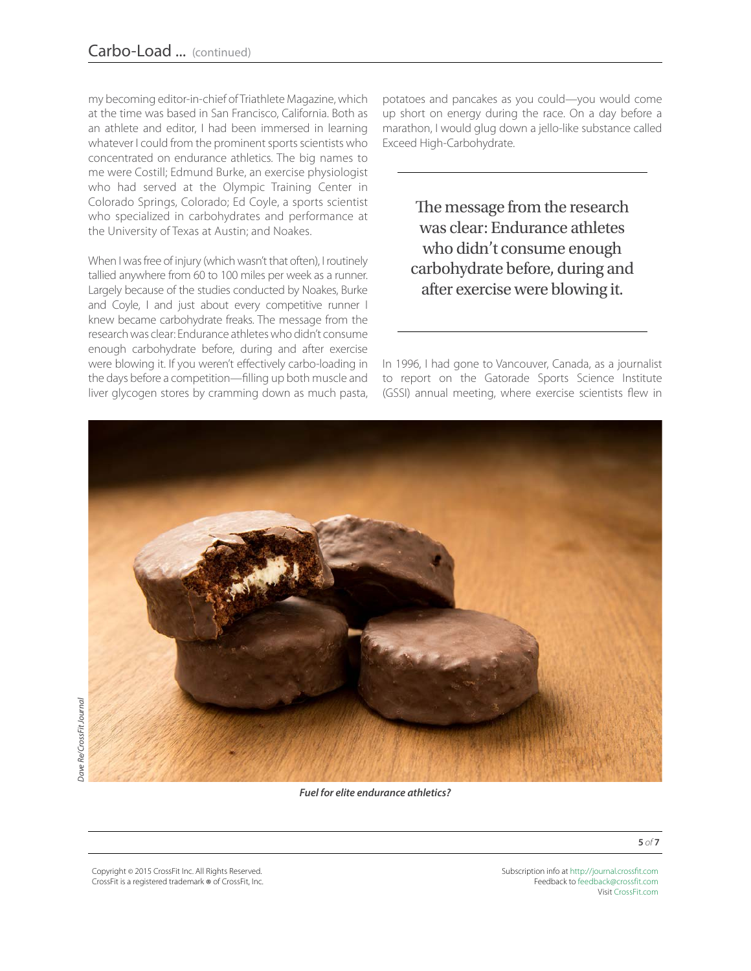my becoming editor-in-chief of Triathlete Magazine, which at the time was based in San Francisco, California. Both as an athlete and editor, I had been immersed in learning whatever I could from the prominent sports scientists who concentrated on endurance athletics. The big names to me were Costill; Edmund Burke, an exercise physiologist who had served at the Olympic Training Center in Colorado Springs, Colorado; Ed Coyle, a sports scientist who specialized in carbohydrates and performance at the University of Texas at Austin; and Noakes.

When I was free of injury (which wasn't that often), I routinely tallied anywhere from 60 to 100 miles per week as a runner. Largely because of the studies conducted by Noakes, Burke and Coyle, I and just about every competitive runner I knew became carbohydrate freaks. The message from the research was clear: Endurance athletes who didn't consume enough carbohydrate before, during and after exercise were blowing it. If you weren't effectively carbo-loading in the days before a competition—filling up both muscle and liver glycogen stores by cramming down as much pasta, potatoes and pancakes as you could—you would come up short on energy during the race. On a day before a marathon, I would glug down a jello-like substance called Exceed High-Carbohydrate.

The message from the research was clear: Endurance athletes who didn't consume enough carbohydrate before, during and after exercise were blowing it.

In 1996, I had gone to Vancouver, Canada, as a journalist to report on the Gatorade Sports Science Institute (GSSI) annual meeting, where exercise scientists flew in



Copyright © 2015 CrossFit Inc. All Rights Reserved. CrossFit is a registered trademark ® of CrossFit, Inc. Subscription info at <http://journal.crossfit.com> Feedback to [feedback@crossfit.com](mailto:feedback@crossfit.com) Visit [CrossFit.com](http://www.crossfit.com)

**5** *of* **7**

Dave Re/CrossFit Journal *Dave Re/CrossFit Journal*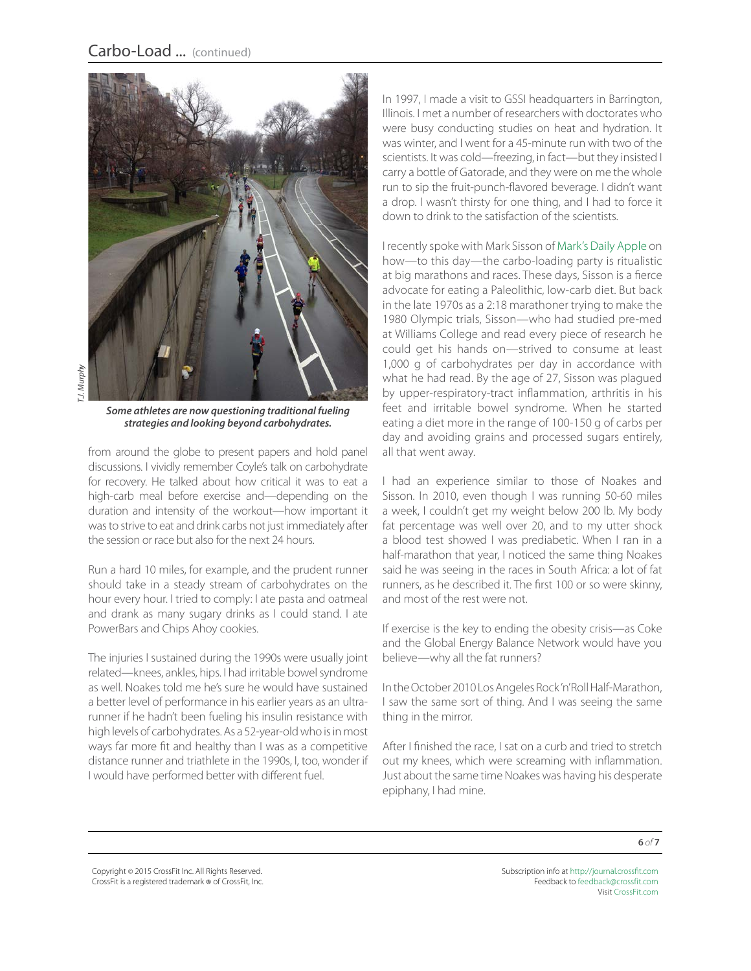

*T.J. Murphy*

*Some athletes are now questioning traditional fueling strategies and looking beyond carbohydrates.*

from around the globe to present papers and hold panel discussions. I vividly remember Coyle's talk on carbohydrate for recovery. He talked about how critical it was to eat a high-carb meal before exercise and—depending on the duration and intensity of the workout—how important it was to strive to eat and drink carbs not just immediately after the session or race but also for the next 24 hours.

Run a hard 10 miles, for example, and the prudent runner should take in a steady stream of carbohydrates on the hour every hour. I tried to comply: I ate pasta and oatmeal and drank as many sugary drinks as I could stand. I ate PowerBars and Chips Ahoy cookies.

The injuries I sustained during the 1990s were usually joint related—knees, ankles, hips. I had irritable bowel syndrome as well. Noakes told me he's sure he would have sustained a better level of performance in his earlier years as an ultrarunner if he hadn't been fueling his insulin resistance with high levels of carbohydrates. As a 52-year-old who is in most ways far more fit and healthy than I was as a competitive distance runner and triathlete in the 1990s, I, too, wonder if I would have performed better with different fuel.

In 1997, I made a visit to GSSI headquarters in Barrington, Illinois. I met a number of researchers with doctorates who were busy conducting studies on heat and hydration. It was winter, and I went for a 45-minute run with two of the scientists. It was cold—freezing, in fact—but they insisted I carry a bottle of Gatorade, and they were on me the whole run to sip the fruit-punch-flavored beverage. I didn't want a drop. I wasn't thirsty for one thing, and I had to force it down to drink to the satisfaction of the scientists.

I recently spoke with Mark Sisson of [Mark's Daily Apple](http://www.marksdailyapple.com/) on how—to this day—the carbo-loading party is ritualistic at big marathons and races. These days, Sisson is a fierce advocate for eating a Paleolithic, low-carb diet. But back in the late 1970s as a 2:18 marathoner trying to make the 1980 Olympic trials, Sisson—who had studied pre-med at Williams College and read every piece of research he could get his hands on—strived to consume at least 1,000 g of carbohydrates per day in accordance with what he had read. By the age of 27, Sisson was plagued by upper-respiratory-tract inflammation, arthritis in his feet and irritable bowel syndrome. When he started eating a diet more in the range of 100-150 g of carbs per day and avoiding grains and processed sugars entirely, all that went away.

I had an experience similar to those of Noakes and Sisson. In 2010, even though I was running 50-60 miles a week, I couldn't get my weight below 200 lb. My body fat percentage was well over 20, and to my utter shock a blood test showed I was prediabetic. When I ran in a half-marathon that year, I noticed the same thing Noakes said he was seeing in the races in South Africa: a lot of fat runners, as he described it. The first 100 or so were skinny, and most of the rest were not.

If exercise is the key to ending the obesity crisis—as Coke and the Global Energy Balance Network would have you believe—why all the fat runners?

In the October 2010 Los Angeles Rock 'n' Roll Half-Marathon, I saw the same sort of thing. And I was seeing the same thing in the mirror.

After I finished the race, I sat on a curb and tried to stretch out my knees, which were screaming with inflammation. Just about the same time Noakes was having his desperate epiphany, I had mine.

Copyright © 2015 CrossFit Inc. All Rights Reserved. CrossFit is a registered trademark ® of CrossFit, Inc.